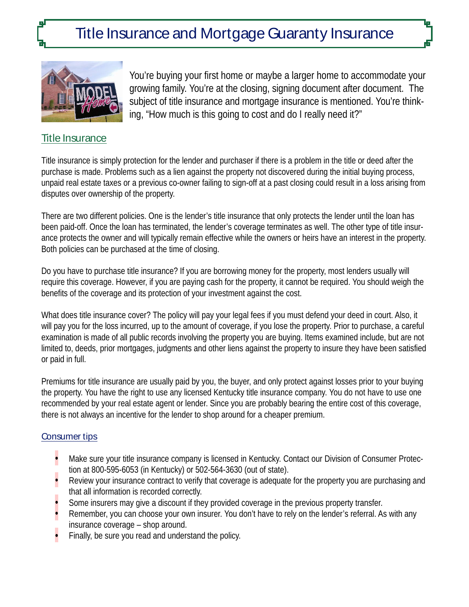# Title Insurance and Mortgage Guaranty Insurance



You're buying your first home or maybe a larger home to accommodate your growing family. You're at the closing, signing document after document. The subject of title insurance and mortgage insurance is mentioned. You're thinking, "How much is this going to cost and do I really need it?"

### Title Insurance

Title insurance is simply protection for the lender and purchaser if there is a problem in the title or deed after the purchase is made. Problems such as a lien against the property not discovered during the initial buying process, unpaid real estate taxes or a previous co-owner failing to sign-off at a past closing could result in a loss arising from disputes over ownership of the property.

There are two different policies. One is the lender's title insurance that only protects the lender until the loan has been paid-off. Once the loan has terminated, the lender's coverage terminates as well. The other type of title insurance protects the owner and will typically remain effective while the owners or heirs have an interest in the property. Both policies can be purchased at the time of closing.

Do you have to purchase title insurance? If you are borrowing money for the property, most lenders usually will require this coverage. However, if you are paying cash for the property, it cannot be required. You should weigh the benefits of the coverage and its protection of your investment against the cost.

What does title insurance cover? The policy will pay your legal fees if you must defend your deed in court. Also, it will pay you for the loss incurred, up to the amount of coverage, if you lose the property. Prior to purchase, a careful examination is made of all public records involving the property you are buying. Items examined include, but are not limited to, deeds, prior mortgages, judgments and other liens against the property to insure they have been satisfied or paid in full.

Premiums for title insurance are usually paid by you, the buyer, and only protect against losses prior to your buying the property. You have the right to use any licensed Kentucky title insurance company. You do not have to use one recommended by your real estate agent or lender. Since you are probably bearing the entire cost of this coverage, there is not always an incentive for the lender to shop around for a cheaper premium.

#### Consumer tips

- Make sure your title insurance company is licensed in Kentucky. Contact our Division of Consumer Protection at 800-595-6053 (in Kentucky) or 502-564-3630 (out of state).
- Review your insurance contract to verify that coverage is adequate for the property you are purchasing and that all information is recorded correctly.
- Some insurers may give a discount if they provided coverage in the previous property transfer.
- Remember, you can choose your own insurer. You don't have to rely on the lender's referral. As with any insurance coverage – shop around.
- Finally, be sure you read and understand the policy.